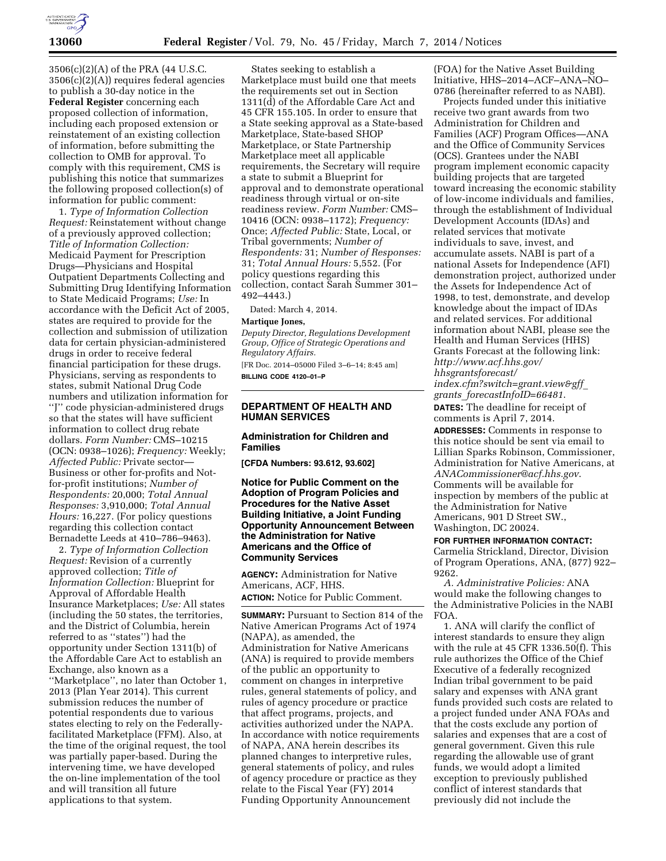

3506(c)(2)(A) of the PRA (44 U.S.C. 3506(c)(2)(A)) requires federal agencies to publish a 30-day notice in the **Federal Register** concerning each proposed collection of information, including each proposed extension or reinstatement of an existing collection of information, before submitting the collection to OMB for approval. To comply with this requirement, CMS is publishing this notice that summarizes the following proposed collection(s) of information for public comment:

1. *Type of Information Collection Request:* Reinstatement without change of a previously approved collection; *Title of Information Collection:*  Medicaid Payment for Prescription Drugs—Physicians and Hospital Outpatient Departments Collecting and Submitting Drug Identifying Information to State Medicaid Programs; *Use:* In accordance with the Deficit Act of 2005, states are required to provide for the collection and submission of utilization data for certain physician-administered drugs in order to receive federal financial participation for these drugs. Physicians, serving as respondents to states, submit National Drug Code numbers and utilization information for ''J'' code physician-administered drugs so that the states will have sufficient information to collect drug rebate dollars. *Form Number:* CMS–10215 (OCN: 0938–1026); *Frequency:* Weekly; *Affected Public:* Private sector— Business or other for-profits and Notfor-profit institutions; *Number of Respondents:* 20,000; *Total Annual Responses:* 3,910,000; *Total Annual Hours:* 16,227. (For policy questions regarding this collection contact Bernadette Leeds at 410–786–9463).

2. *Type of Information Collection Request:* Revision of a currently approved collection; *Title of Information Collection:* Blueprint for Approval of Affordable Health Insurance Marketplaces; *Use:* All states (including the 50 states, the territories, and the District of Columbia, herein referred to as ''states'') had the opportunity under Section 1311(b) of the Affordable Care Act to establish an Exchange, also known as a ''Marketplace'', no later than October 1, 2013 (Plan Year 2014). This current submission reduces the number of potential respondents due to various states electing to rely on the Federallyfacilitated Marketplace (FFM). Also, at the time of the original request, the tool was partially paper-based. During the intervening time, we have developed the on-line implementation of the tool and will transition all future applications to that system.

States seeking to establish a Marketplace must build one that meets the requirements set out in Section 1311(d) of the Affordable Care Act and 45 CFR 155.105. In order to ensure that a State seeking approval as a State-based Marketplace, State-based SHOP Marketplace, or State Partnership Marketplace meet all applicable requirements, the Secretary will require a state to submit a Blueprint for approval and to demonstrate operational readiness through virtual or on-site readiness review. *Form Number:* CMS– 10416 (OCN: 0938–1172); *Frequency:*  Once; *Affected Public:* State, Local, or Tribal governments; *Number of Respondents:* 31; *Number of Responses:*  31; *Total Annual Hours:* 5,552. (For policy questions regarding this collection, contact Sarah Summer 301– 492–4443.)

Dated: March 4, 2014.

## **Martique Jones,**

*Deputy Director, Regulations Development Group, Office of Strategic Operations and Regulatory Affairs.* 

[FR Doc. 2014–05000 Filed 3–6–14; 8:45 am] **BILLING CODE 4120–01–P** 

# **DEPARTMENT OF HEALTH AND HUMAN SERVICES**

# **Administration for Children and Families**

**[CFDA Numbers: 93.612, 93.602]** 

## **Notice for Public Comment on the Adoption of Program Policies and Procedures for the Native Asset Building Initiative, a Joint Funding Opportunity Announcement Between the Administration for Native Americans and the Office of Community Services**

**AGENCY:** Administration for Native Americans, ACF, HHS.

**ACTION:** Notice for Public Comment.

**SUMMARY:** Pursuant to Section 814 of the Native American Programs Act of 1974 (NAPA), as amended, the Administration for Native Americans (ANA) is required to provide members of the public an opportunity to comment on changes in interpretive rules, general statements of policy, and rules of agency procedure or practice that affect programs, projects, and activities authorized under the NAPA. In accordance with notice requirements of NAPA, ANA herein describes its planned changes to interpretive rules, general statements of policy, and rules of agency procedure or practice as they relate to the Fiscal Year (FY) 2014 Funding Opportunity Announcement

(FOA) for the Native Asset Building Initiative, HHS–2014–ACF–ANA–NO– 0786 (hereinafter referred to as NABI).

Projects funded under this initiative receive two grant awards from two Administration for Children and Families (ACF) Program Offices—ANA and the Office of Community Services (OCS). Grantees under the NABI program implement economic capacity building projects that are targeted toward increasing the economic stability of low-income individuals and families, through the establishment of Individual Development Accounts (IDAs) and related services that motivate individuals to save, invest, and accumulate assets. NABI is part of a national Assets for Independence (AFI) demonstration project, authorized under the Assets for Independence Act of 1998, to test, demonstrate, and develop knowledge about the impact of IDAs and related services. For additional information about NABI, please see the Health and Human Services (HHS) Grants Forecast at the following link: *[http://www.acf.hhs.gov/](http://www.acf.hhs.gov/hhsgrantsforecast/index.cfm?switch=grant.view&gff_grants_forecastInfoID=66481) [hhsgrantsforecast/](http://www.acf.hhs.gov/hhsgrantsforecast/index.cfm?switch=grant.view&gff_grants_forecastInfoID=66481)*

*[index.cfm?switch=grant.view&gff](http://www.acf.hhs.gov/hhsgrantsforecast/index.cfm?switch=grant.view&gff_grants_forecastInfoID=66481)*\_ *grants*\_*[forecastInfoID=66481](http://www.acf.hhs.gov/hhsgrantsforecast/index.cfm?switch=grant.view&gff_grants_forecastInfoID=66481)*.

**DATES:** The deadline for receipt of comments is April 7, 2014.

**ADDRESSES:** Comments in response to this notice should be sent via email to Lillian Sparks Robinson, Commissioner, Administration for Native Americans, at *[ANACommissioner@acf.hhs.gov](mailto:ANACommissioner@acf.hhs.gov)*. Comments will be available for inspection by members of the public at the Administration for Native Americans, 901 D Street SW., Washington, DC 20024.

# **FOR FURTHER INFORMATION CONTACT:**

Carmelia Strickland, Director, Division of Program Operations, ANA, (877) 922– 9262.

*A. Administrative Policies:* ANA would make the following changes to the Administrative Policies in the NABI FOA.

1. ANA will clarify the conflict of interest standards to ensure they align with the rule at 45 CFR 1336.50(f). This rule authorizes the Office of the Chief Executive of a federally recognized Indian tribal government to be paid salary and expenses with ANA grant funds provided such costs are related to a project funded under ANA FOAs and that the costs exclude any portion of salaries and expenses that are a cost of general government. Given this rule regarding the allowable use of grant funds, we would adopt a limited exception to previously published conflict of interest standards that previously did not include the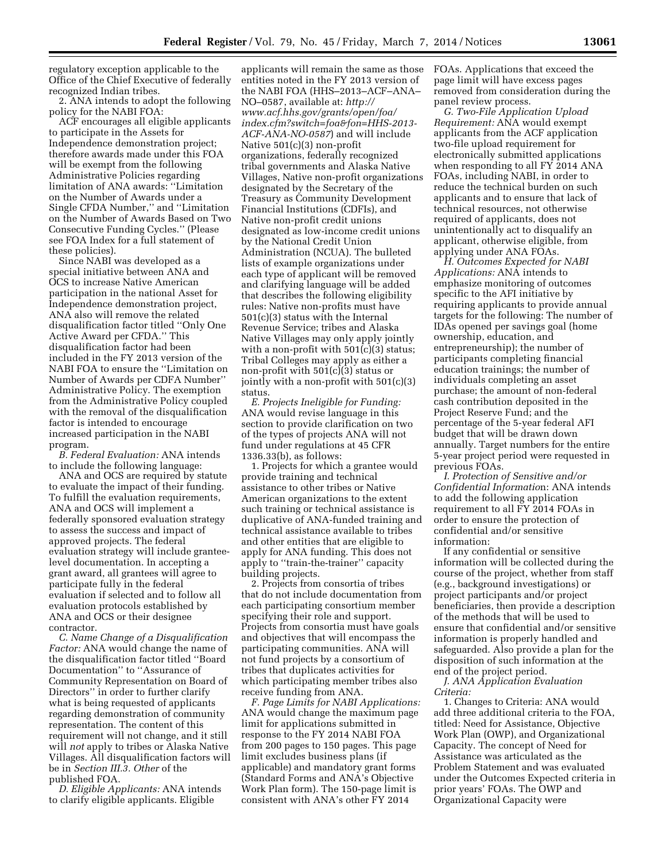regulatory exception applicable to the Office of the Chief Executive of federally recognized Indian tribes.

2. ANA intends to adopt the following policy for the NABI FOA:

ACF encourages all eligible applicants to participate in the Assets for Independence demonstration project; therefore awards made under this FOA will be exempt from the following Administrative Policies regarding limitation of ANA awards: ''Limitation on the Number of Awards under a Single CFDA Number,'' and ''Limitation on the Number of Awards Based on Two Consecutive Funding Cycles.'' (Please see FOA Index for a full statement of these policies).

Since NABI was developed as a special initiative between ANA and OCS to increase Native American participation in the national Asset for Independence demonstration project, ANA also will remove the related disqualification factor titled ''Only One Active Award per CFDA.'' This disqualification factor had been included in the FY 2013 version of the NABI FOA to ensure the ''Limitation on Number of Awards per CDFA Number'' Administrative Policy. The exemption from the Administrative Policy coupled with the removal of the disqualification factor is intended to encourage increased participation in the NABI program.

*B. Federal Evaluation:* ANA intends to include the following language:

ANA and OCS are required by statute to evaluate the impact of their funding. To fulfill the evaluation requirements, ANA and OCS will implement a federally sponsored evaluation strategy to assess the success and impact of approved projects. The federal evaluation strategy will include granteelevel documentation. In accepting a grant award, all grantees will agree to participate fully in the federal evaluation if selected and to follow all evaluation protocols established by ANA and OCS or their designee contractor.

*C. Name Change of a Disqualification Factor:* ANA would change the name of the disqualification factor titled ''Board Documentation'' to ''Assurance of Community Representation on Board of Directors'' in order to further clarify what is being requested of applicants regarding demonstration of community representation. The content of this requirement will not change, and it still will *not* apply to tribes or Alaska Native Villages. All disqualification factors will be in *Section III.3. Other* of the published FOA.

*D. Eligible Applicants:* ANA intends to clarify eligible applicants. Eligible

applicants will remain the same as those entities noted in the FY 2013 version of the NABI FOA (HHS–2013–ACF–ANA– NO–0587, available at: *[http://](http://www.acf.hhs.gov/grants/open/foa/index.cfm?switch=foa&fon=HHS-2013-ACF-ANA-NO-0587) [www.acf.hhs.gov/grants/open/foa/](http://www.acf.hhs.gov/grants/open/foa/index.cfm?switch=foa&fon=HHS-2013-ACF-ANA-NO-0587) [index.cfm?switch=foa&fon=HHS-2013-](http://www.acf.hhs.gov/grants/open/foa/index.cfm?switch=foa&fon=HHS-2013-ACF-ANA-NO-0587) [ACF-ANA-NO-0587](http://www.acf.hhs.gov/grants/open/foa/index.cfm?switch=foa&fon=HHS-2013-ACF-ANA-NO-0587)*) and will include Native 501(c)(3) non-profit organizations, federally recognized tribal governments and Alaska Native Villages, Native non-profit organizations designated by the Secretary of the Treasury as Community Development Financial Institutions (CDFIs), and Native non-profit credit unions designated as low-income credit unions by the National Credit Union Administration (NCUA). The bulleted lists of example organizations under each type of applicant will be removed and clarifying language will be added that describes the following eligibility rules: Native non-profits must have 501(c)(3) status with the Internal Revenue Service; tribes and Alaska Native Villages may only apply jointly with a non-profit with 501(c)(3) status; Tribal Colleges may apply as either a non-profit with 501(c)(3) status or jointly with a non-profit with 501(c)(3) status.

*E. Projects Ineligible for Funding:*  ANA would revise language in this section to provide clarification on two of the types of projects ANA will not fund under regulations at 45 CFR 1336.33(b), as follows:

1. Projects for which a grantee would provide training and technical assistance to other tribes or Native American organizations to the extent such training or technical assistance is duplicative of ANA-funded training and technical assistance available to tribes and other entities that are eligible to apply for ANA funding. This does not apply to ''train-the-trainer'' capacity building projects.

2. Projects from consortia of tribes that do not include documentation from each participating consortium member specifying their role and support. Projects from consortia must have goals and objectives that will encompass the participating communities. ANA will not fund projects by a consortium of tribes that duplicates activities for which participating member tribes also receive funding from ANA.

*F. Page Limits for NABI Applications:*  ANA would change the maximum page limit for applications submitted in response to the FY 2014 NABI FOA from 200 pages to 150 pages. This page limit excludes business plans (if applicable) and mandatory grant forms (Standard Forms and ANA's Objective Work Plan form). The 150-page limit is consistent with ANA's other FY 2014

FOAs. Applications that exceed the page limit will have excess pages removed from consideration during the panel review process.

*G. Two-File Application Upload Requirement:* ANA would exempt applicants from the ACF application two-file upload requirement for electronically submitted applications when responding to all FY 2014 ANA FOAs, including NABI, in order to reduce the technical burden on such applicants and to ensure that lack of technical resources, not otherwise required of applicants, does not unintentionally act to disqualify an applicant, otherwise eligible, from applying under ANA FOAs.

*H. Outcomes Expected for NABI Applications:* ANA intends to emphasize monitoring of outcomes specific to the AFI initiative by requiring applicants to provide annual targets for the following: The number of IDAs opened per savings goal (home ownership, education, and entrepreneurship); the number of participants completing financial education trainings; the number of individuals completing an asset purchase; the amount of non-federal cash contribution deposited in the Project Reserve Fund; and the percentage of the 5-year federal AFI budget that will be drawn down annually. Target numbers for the entire 5-year project period were requested in previous FOAs.

*I. Protection of Sensitive and/or Confidential Informatio*n: ANA intends to add the following application requirement to all FY 2014 FOAs in order to ensure the protection of confidential and/or sensitive information:

If any confidential or sensitive information will be collected during the course of the project, whether from staff (e.g., background investigations) or project participants and/or project beneficiaries, then provide a description of the methods that will be used to ensure that confidential and/or sensitive information is properly handled and safeguarded. Also provide a plan for the disposition of such information at the end of the project period.

*J. ANA Application Evaluation Criteria:* 

1. Changes to Criteria: ANA would add three additional criteria to the FOA, titled: Need for Assistance, Objective Work Plan (OWP), and Organizational Capacity. The concept of Need for Assistance was articulated as the Problem Statement and was evaluated under the Outcomes Expected criteria in prior years' FOAs. The OWP and Organizational Capacity were